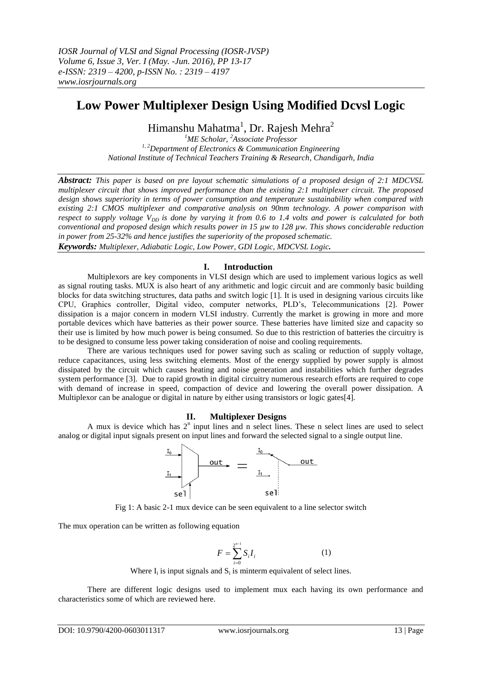# **Low Power Multiplexer Design Using Modified Dcvsl Logic**

Himanshu Mahatma<sup>1</sup>, Dr. Rajesh Mehra<sup>2</sup>

*<sup>1</sup>ME Scholar, <sup>2</sup>Associate Professor 1, 2Department of Electronics & Communication Engineering National Institute of Technical Teachers Training & Research, Chandigarh, India*

*Abstract: This paper is based on pre layout schematic simulations of a proposed design of 2:1 MDCVSL multiplexer circuit that shows improved performance than the existing 2:1 multiplexer circuit. The proposed design shows superiority in terms of power consumption and temperature sustainability when compared with existing 2:1 CMOS multiplexer and comparative analysis on 90nm technology. A power comparison with respect to supply voltage*  $V_{DD}$  *is done by varying it from 0.6 to 1.4 volts and power is calculated for both conventional and proposed design which results power in 15 µw to 128 µw. This shows conciderable reduction in power from 25-32% and hence justifies the superiority of the proposed schematic.*

*Keywords: Multiplexer, Adiabatic Logic, Low Power, GDI Logic, MDCVSL Logic.*

# **I. Introduction**

Multiplexors are key components in VLSI design which are used to implement various logics as well as signal routing tasks. MUX is also heart of any arithmetic and logic circuit and are commonly basic building blocks for data switching structures, data paths and switch logic [1]. It is used in designing various circuits like CPU, Graphics controller, Digital video, computer networks, PLD's, Telecommunications [2]. Power dissipation is a major concern in modern VLSI industry. Currently the market is growing in more and more portable devices which have batteries as their power source. These batteries have limited size and capacity so their use is limited by how much power is being consumed. So due to this restriction of batteries the circuitry is to be designed to consume less power taking consideration of noise and cooling requirements.

There are various techniques used for power saving such as scaling or reduction of supply voltage, reduce capacitances, using less switching elements. Most of the energy supplied by power supply is almost dissipated by the circuit which causes heating and noise generation and instabilities which further degrades system performance [3]. Due to rapid growth in digital circuitry numerous research efforts are required to cope with demand of increase in speed, compaction of device and lowering the overall power dissipation. A Multiplexor can be analogue or digital in nature by either using transistors or logic gates[4].

# **II. Multiplexer Designs**

A mux is device which has  $2<sup>n</sup>$  input lines and n select lines. These n select lines are used to select analog or digital input signals present on input lines and forward the selected signal to a single output line.





The mux operation can be written as following equation

$$
F = \sum_{i=0}^{2^{n-1}} S_i I_i
$$
 (1)

Where  $I_i$  is input signals and  $S_i$  is minterm equivalent of select lines.

There are different logic designs used to implement mux each having its own performance and characteristics some of which are reviewed here.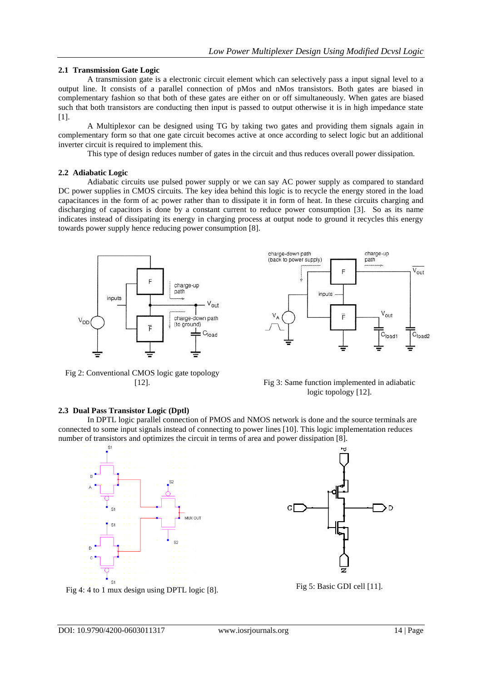# **2.1 Transmission Gate Logic**

A transmission gate is a electronic circuit element which can selectively pass a input signal level to a output line. It consists of a parallel connection of pMos and nMos transistors. Both gates are biased in complementary fashion so that both of these gates are either on or off simultaneously. When gates are biased such that both transistors are conducting then input is passed to output otherwise it is in high impedance state [1].

A Multiplexor can be designed using TG by taking two gates and providing them signals again in complementary form so that one gate circuit becomes active at once according to select logic but an additional inverter circuit is required to implement this.

This type of design reduces number of gates in the circuit and thus reduces overall power dissipation.

#### **2.2 Adiabatic Logic**

Adiabatic circuits use pulsed power supply or we can say AC power supply as compared to standard DC power supplies in CMOS circuits. The key idea behind this logic is to recycle the energy stored in the load capacitances in the form of ac power rather than to dissipate it in form of heat. In these circuits charging and discharging of capacitors is done by a constant current to reduce power consumption [3]. So as its name indicates instead of dissipating its energy in charging process at output node to ground it recycles this energy towards power supply hence reducing power consumption [8].



charge-down path charge-up (back to power supply) path  $\overline{V_{\text{out}}}$ Ė inputs  $V_{\text{out}}$  $\overline{r}$ C<sub>load2</sub>  $C<sub>load1</sub>$ 

Fig 2: Conventional CMOS logic gate topology



### **2.3 Dual Pass Transistor Logic (Dptl)**

In DPTL logic parallel connection of PMOS and NMOS network is done and the source terminals are connected to some input signals instead of connecting to power lines [10]. This logic implementation reduces number of transistors and optimizes the circuit in terms of area and power dissipation [8].



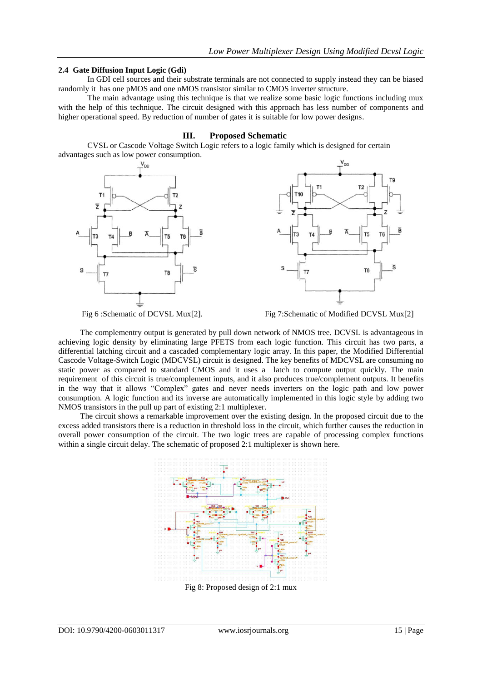### **2.4 Gate Diffusion Input Logic (Gdi)**

In GDI cell sources and their substrate terminals are not connected to supply instead they can be biased randomly it has one pMOS and one nMOS transistor similar to CMOS inverter structure.

The main advantage using this technique is that we realize some basic logic functions including mux with the help of this technique. The circuit designed with this approach has less number of components and higher operational speed. By reduction of number of gates it is suitable for low power designs.

# **III. Proposed Schematic**

CVSL or Cascode Voltage Switch Logic refers to a logic family which is designed for certain advantages such as low power consumption.





Fig 6 :Schematic of DCVSL Mux[2]. Fig 7:Schematic of Modified DCVSL Mux[2]

The complementry output is generated by pull down network of NMOS tree. DCVSL is advantageous in achieving logic density by eliminating large PFETS from each logic function. This circuit has two parts, a differential latching circuit and a cascaded complementary logic array. In this paper, the Modified Differential Cascode Voltage-Switch Logic (MDCVSL) circuit is designed. The key benefits of MDCVSL are consuming no static power as compared to standard CMOS and it uses a latch to compute output quickly. The main requirement of this circuit is true/complement inputs, and it also produces true/complement outputs. It benefits in the way that it allows "Complex" gates and never needs inverters on the logic path and low power consumption. A logic function and its inverse are automatically implemented in this logic style by adding two NMOS transistors in the pull up part of existing 2:1 multiplexer.

The circuit shows a remarkable improvement over the existing design. In the proposed circuit due to the excess added transistors there is a reduction in threshold loss in the circuit, which further causes the reduction in overall power consumption of the circuit. The two logic trees are capable of processing complex functions within a single circuit delay. The schematic of proposed 2:1 multiplexer is shown here.



Fig 8: Proposed design of 2:1 mux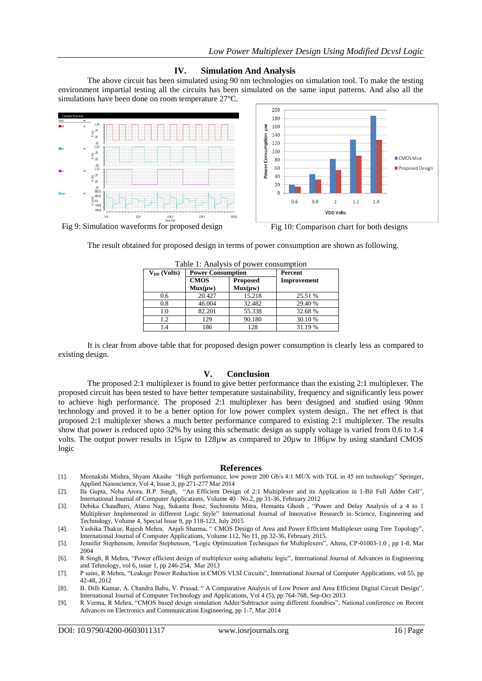# **IV. Simulation And Analysis**

The above circuit has been simulated using 90 nm technologies on simulation tool. To make the testing environment impartial testing all the circuits has been simulated on the same input patterns. And also all the simulations have been done on room temperature 27ºC.





Fig 9: Simulation waveforms for proposed design Fig 10: Comparison chart for both designs

The result obtained for proposed design in terms of power consumption are shown as following.

| Table 1: Analysis of power consumption |                          |                 |             |  |  |
|----------------------------------------|--------------------------|-----------------|-------------|--|--|
| $V_{DD}$ (Volts)                       | <b>Power Consumption</b> |                 | Percent     |  |  |
|                                        | <b>CMOS</b>              | <b>Proposed</b> | Improvement |  |  |
|                                        | Mux(uw)                  | $Mux({\mu}w)$   |             |  |  |
| 0.6                                    | 20.427                   | 15.218          | 25.51 %     |  |  |
| 0.8                                    | 46.004                   | 32.482          | 29.40 %     |  |  |
| 1.0                                    | 82.201                   | 55.338          | 32.68 %     |  |  |
| 1.2                                    | 129                      | 90.180          | 30.10 %     |  |  |
| 1.4                                    | 186                      | 128             | 31.19 %     |  |  |

|  |  |  | Table 1: Analysis of power consumption |
|--|--|--|----------------------------------------|
|--|--|--|----------------------------------------|

It is clear from above table that for proposed design power consumption is clearly less as compared to existing design.

# **V. Conclusion**

The proposed 2:1 multiplexer is found to give better performance than the existing 2:1 multiplexer. The proposed circuit has been tested to have better temperature sustainability, frequency and significantly less power to achieve high performance. The proposed 2:1 multiplexer has been designed and studied using 90nm technology and proved it to be a better option for low power complex system design.. The net effect is that proposed 2:1 multiplexer shows a much better performance compared to existing 2:1 multiplexer. The results show that power is reduced upto 32% by using this schematic design as supply voltage is varied from 0.6 to 1.4 volts. The output power results in 15µw to 128µw as compared to 20µw to 186µw by using standard CMOS logic

#### **References**

- [1]. Meenakshi Mishra, Shyam Akashe "High performance, low power 200 Gb/s 4:1 MUX with TGL in 45 nm technology" Springer, Applied Nanoscience, Vol 4, Issue 3, pp 271-277 Mar 2014
- [2]. Ila Gupta, Neha Arora, B.P. Singh, "An Efficient Design of 2:1 Multiplexer and its Application in 1-Bit Full Adder Cell", International Journal of Computer Applications, Volume 40– No.2, pp 31-36, February 2012
- [3]. Debika Chaudhuri, Atanu Nag, Sukanta Bose, Suchismita Mitra, Hemanta Ghosh , "Power and Delay Analysis of a 4 to 1 Multiplexer Implemented in different Logic Style" International Journal of Innovative Research in Science, Engineering and Technology, Volume 4, Special Issue 9, pp 118-123, July 2015
- [4]. Yashika Thakur, Rajesh Mehra, Anjali Sharma, " CMOS Design of Area and Power Efficient Multiplexer using Tree Topology", International Journal of Computer Applications, Volume 112, No 11, pp 32-36, February 2015.
- [5]. Jennifer Stephenson, Jennifer Stephenson, "Logic Optimization Techniques for Multiplexers", Altera, CP-01003-1.0 , pp 1-8, Mar 2004
- [6]. R Singh, R Mehra, "Power efficient design of multiplexer using adiabatic logic", International Journal of Advances in Engineering and Tehnology, vol 6, issue 1, pp 246-254, Mar 2013
- [7]. P saini, R Mehra, "Leakage Power Reduction in CMOS VLSI Circuits", International Journal of Computer Applications, vol 55, pp 42-48, 2012
- [8]. B. Dilli Kumar, A. Chandra Babu, V. Prasad, " A Comparative Analysis of Low Power and Area Efficient Digital Circuit Design", International Journal of Computer Technology and Applications, Vol 4 (5), pp 764-768, Sep-Oct 2013
- [9]. R Verma, R Mehra, "CMOS based design simulation Adder/Subtractor using different foundries", National conference on Recent Advances on Electronics and Communication Engineering, pp 1-7, Mar 2014